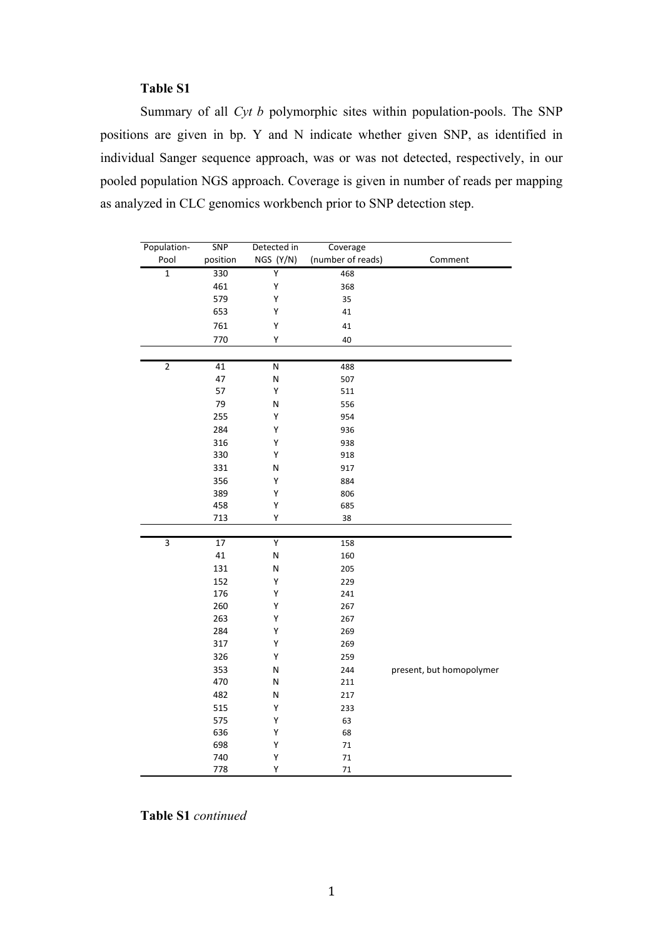## **Table S1**

Summary of all *Cyt b* polymorphic sites within population-pools. The SNP positions are given in bp. Y and N indicate whether given SNP, as identified in individual Sanger sequence approach, was or was not detected, respectively, in our pooled population NGS approach. Coverage is given in number of reads per mapping as analyzed in CLC genomics workbench prior to SNP detection step.

| Population-    | <b>SNP</b> | Detected in | Coverage          |                          |
|----------------|------------|-------------|-------------------|--------------------------|
| Pool           | position   | NGS (Y/N)   | (number of reads) | Comment                  |
| $\mathbf{1}$   | 330        | Ÿ           | 468               |                          |
|                | 461        | Υ           | 368               |                          |
|                | 579        | Υ           | 35                |                          |
|                | 653        | Υ           | 41                |                          |
|                | 761        | Υ           | 41                |                          |
|                | 770        | Υ           | 40                |                          |
|                |            |             |                   |                          |
| $\overline{2}$ | 41         | ${\sf N}$   | 488               |                          |
|                | 47         | N           | 507               |                          |
|                | 57         | Υ           | 511               |                          |
|                | 79         | N           | 556               |                          |
|                | 255        | Υ           | 954               |                          |
|                | 284        | Υ           | 936               |                          |
|                | 316        | Υ           | 938               |                          |
|                | 330        | Υ           | 918               |                          |
|                | 331        | N           | 917               |                          |
|                | 356        | Υ           | 884               |                          |
|                | 389        | Υ           | 806               |                          |
|                | 458        | Υ           | 685               |                          |
|                | 713        | Υ           | 38                |                          |
|                |            |             |                   |                          |
| $\overline{3}$ | 17         | Y           | 158               |                          |
|                | 41         | N           | 160               |                          |
|                | 131        | N           | 205               |                          |
|                | 152        | Υ           | 229               |                          |
|                | 176        | Υ           | 241               |                          |
|                | 260        | Υ           | 267               |                          |
|                | 263        | Υ           | 267               |                          |
|                | 284        | Υ           | 269               |                          |
|                | 317        | Υ           | 269               |                          |
|                | 326        | Υ           | 259               |                          |
|                | 353        | Ν           | 244               | present, but homopolymer |
|                | 470        | N           | 211               |                          |
|                | 482        | N           | 217               |                          |
|                | 515        | Υ           | 233               |                          |
|                | 575        | Υ           | 63                |                          |
|                | 636        | Υ           | 68                |                          |
|                | 698        | Υ           | $71\,$            |                          |
|                | 740        | Υ           | 71                |                          |
|                | 778        | Υ           | $71\,$            |                          |

**Table S1** *continued*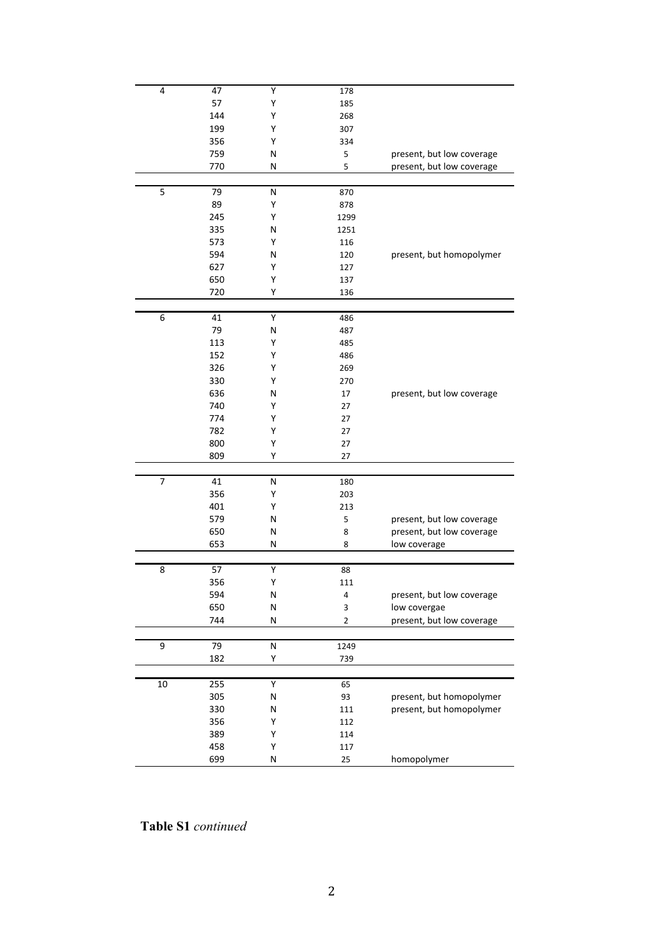| 4      | 47  | Υ         | 178  |                           |
|--------|-----|-----------|------|---------------------------|
|        | 57  | Υ         | 185  |                           |
|        | 144 | Υ         | 268  |                           |
|        | 199 | Υ         | 307  |                           |
|        | 356 | Υ         | 334  |                           |
|        | 759 | N         | 5    | present, but low coverage |
|        |     |           |      |                           |
|        | 770 | Ν         | 5    | present, but low coverage |
|        |     |           |      |                           |
| 5      | 79  | N         | 870  |                           |
|        | 89  | Υ         | 878  |                           |
|        | 245 | Υ         | 1299 |                           |
|        | 335 | Ν         | 1251 |                           |
|        | 573 | Υ         | 116  |                           |
|        | 594 | Ν         | 120  | present, but homopolymer  |
|        | 627 | Υ         | 127  |                           |
|        | 650 | Υ         | 137  |                           |
|        | 720 | Υ         | 136  |                           |
|        |     |           |      |                           |
| 6      | 41  | Υ         | 486  |                           |
|        | 79  | N         | 487  |                           |
|        | 113 | Υ         | 485  |                           |
|        |     |           |      |                           |
|        | 152 | Υ         | 486  |                           |
|        | 326 | Υ         | 269  |                           |
|        | 330 | Υ         | 270  |                           |
|        | 636 | Ν         | 17   | present, but low coverage |
|        | 740 | Υ         | 27   |                           |
|        | 774 | Υ         | 27   |                           |
|        | 782 | Υ         | 27   |                           |
|        | 800 | Υ         | 27   |                           |
|        | 809 | Υ         | 27   |                           |
|        |     |           |      |                           |
| 7      | 41  | N         | 180  |                           |
|        | 356 | Υ         | 203  |                           |
|        | 401 | Υ         | 213  |                           |
|        |     |           |      |                           |
|        | 579 | N         | 5    | present, but low coverage |
|        | 650 | Ν         | 8    | present, but low coverage |
|        | 653 | N         | 8    | low coverage              |
|        |     |           |      |                           |
| 8      | 57  | Y         | 88   |                           |
|        | 356 | Υ         | 111  |                           |
|        | 594 | N         | 4    | present, but low coverage |
|        | 650 | N         | 3    | low covergae              |
|        | 744 | N         | 2    | present, but low coverage |
|        |     |           |      |                           |
| 9      | 79  | ${\sf N}$ | 1249 |                           |
|        | 182 | Υ         | 739  |                           |
|        |     |           |      |                           |
| $10\,$ | 255 | Υ         | 65   |                           |
|        | 305 | ${\sf N}$ | 93   | present, but homopolymer  |
|        | 330 | N         | 111  | present, but homopolymer  |
|        | 356 | Υ         | 112  |                           |
|        | 389 | Υ         | 114  |                           |
|        | 458 | Υ         | 117  |                           |
|        | 699 | N         | 25   | homopolymer               |

Table S1 continued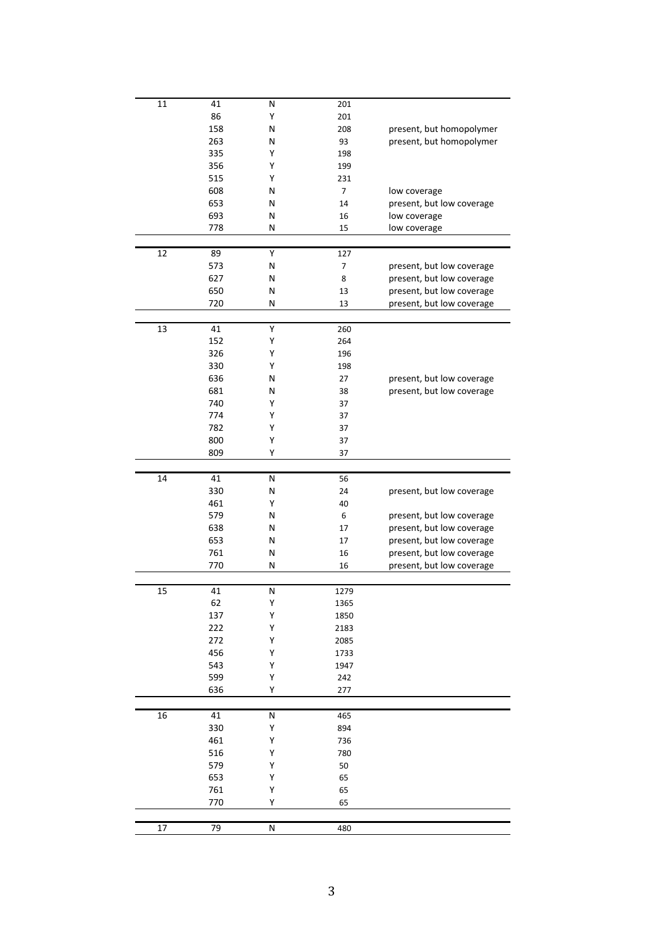| 11 | 41  | Ν | 201  |                           |
|----|-----|---|------|---------------------------|
|    | 86  | Υ | 201  |                           |
|    | 158 | N | 208  | present, but homopolymer  |
|    | 263 | Ν | 93   | present, but homopolymer  |
|    | 335 | Υ | 198  |                           |
|    |     |   |      |                           |
|    | 356 | Υ | 199  |                           |
|    | 515 | Υ | 231  |                           |
|    | 608 | Ν | 7    | low coverage              |
|    | 653 | Ν | 14   | present, but low coverage |
|    | 693 | Ν | 16   | low coverage              |
|    | 778 | Ν | 15   | low coverage              |
|    |     |   |      |                           |
| 12 | 89  | Υ | 127  |                           |
|    |     |   |      |                           |
|    | 573 | Ν | 7    | present, but low coverage |
|    | 627 | Ν | 8    | present, but low coverage |
|    | 650 | Ν | 13   | present, but low coverage |
|    | 720 | Ν | 13   | present, but low coverage |
|    |     |   |      |                           |
| 13 | 41  | Y | 260  |                           |
|    | 152 | Υ | 264  |                           |
|    | 326 | Υ | 196  |                           |
|    |     |   |      |                           |
|    | 330 | Υ | 198  |                           |
|    | 636 | Ν | 27   | present, but low coverage |
|    | 681 | Ν | 38   | present, but low coverage |
|    | 740 | Υ | 37   |                           |
|    | 774 | Υ | 37   |                           |
|    | 782 | Υ | 37   |                           |
|    | 800 | Υ | 37   |                           |
|    |     |   |      |                           |
|    | 809 | Υ | 37   |                           |
|    |     |   |      |                           |
| 14 | 41  | Ν | 56   |                           |
|    | 330 | Ν | 24   | present, but low coverage |
|    | 461 | Υ | 40   |                           |
|    | 579 | Ν | 6    | present, but low coverage |
|    | 638 | Ν | 17   | present, but low coverage |
|    | 653 | Ν | 17   | present, but low coverage |
|    | 761 | Ν | 16   | present, but low coverage |
|    | 770 | Ν |      |                           |
|    |     |   |      |                           |
|    |     |   | 16   | present, but low coverage |
|    |     |   |      |                           |
| 15 | 41  | Ν | 1279 |                           |
|    | 62  | Υ | 1365 |                           |
|    | 137 | Υ | 1850 |                           |
|    | 222 | Υ | 2183 |                           |
|    |     | Υ |      |                           |
|    | 272 |   | 2085 |                           |
|    | 456 | Υ | 1733 |                           |
|    | 543 | Υ | 1947 |                           |
|    | 599 | Υ | 242  |                           |
|    | 636 | Υ | 277  |                           |
|    |     |   |      |                           |
| 16 | 41  | N | 465  |                           |
|    | 330 | Υ | 894  |                           |
|    | 461 | Υ | 736  |                           |
|    |     | Υ |      |                           |
|    | 516 |   | 780  |                           |
|    | 579 | Υ | 50   |                           |
|    | 653 | Υ | 65   |                           |
|    | 761 | Υ | 65   |                           |
|    | 770 | Υ | 65   |                           |
|    | 79  |   |      |                           |